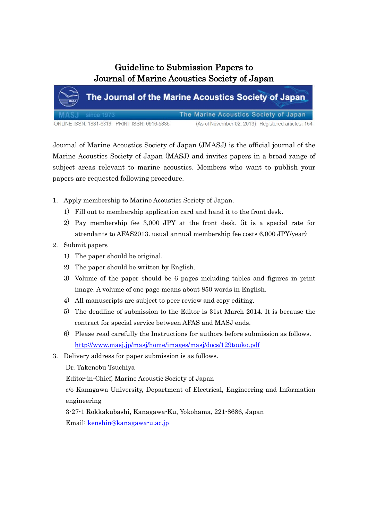## Guideline to Submission Papers to Journal of Marine Acoustics Society of Japan

|                                              | The Journal of the Marine Acoustics Society of Japan |
|----------------------------------------------|------------------------------------------------------|
| MASJ since 1973                              | The Marine Acoustics Society of Japan                |
| ONLINE ISSN: 1881-6819 PRINT ISSN: 0916-5835 | (As of November 02, 2013) Registered articles: 154   |

Journal of Marine Acoustics Society of Japan (JMASJ) is the official journal of the Marine Acoustics Society of Japan (MASJ) and invites papers in a broad range of subject areas relevant to marine acoustics. Members who want to publish your papers are requested following procedure.

- 1. Apply membership to Marine Acoustics Society of Japan.
	- 1) Fill out to membership application card and hand it to the front desk.
	- 2) Pay membership fee 3,000 JPY at the front desk. (it is a special rate for attendants to AFAS2013. usual annual membership fee costs 6,000 JPY/year)
- 2. Submit papers
	- 1) The paper should be original.
	- 2) The paper should be written by English.
	- 3) Volume of the paper should be 6 pages including tables and figures in print image. A volume of one page means about 850 words in English.
	- 4) All manuscripts are subject to peer review and copy editing.
	- 5) The deadline of submission to the Editor is 31st March 2014. It is because the contract for special service between AFAS and MASJ ends.
	- 6) Please read carefully the Instructions for authors before submission as follows. <http://www.masj.jp/masj/home/images/masj/docs/129touko.pdf>
- 3. Delivery address for paper submission is as follows.
	- Dr. Takenobu Tsuchiya

Editor-in-Chief, Marine Acoustic Society of Japan

c/o Kanagawa University, Department of Electrical, Engineering and Information engineering

3-27-1 Rokkakubashi, Kanagawa-Ku, Yokohama, 221-8686, Japan Email: [kenshin@kanagawa-u.ac.jp](mailto:kenshin@kanagawa-u.ac.jp)